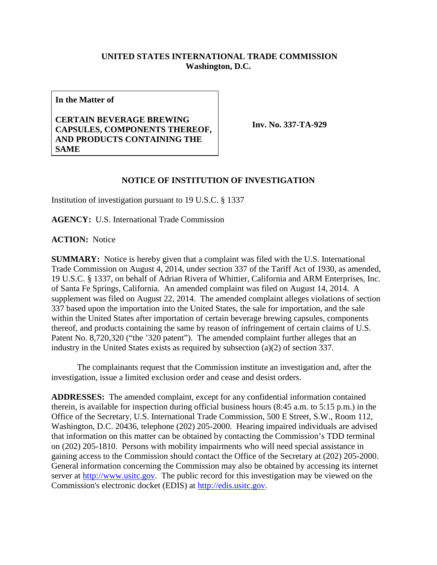## **UNITED STATES INTERNATIONAL TRADE COMMISSION Washington, D.C.**

**In the Matter of**

## **CERTAIN BEVERAGE BREWING CAPSULES, COMPONENTS THEREOF, AND PRODUCTS CONTAINING THE SAME**

**Inv. No. 337-TA-929**

## **NOTICE OF INSTITUTION OF INVESTIGATION**

Institution of investigation pursuant to 19 U.S.C. § 1337

**AGENCY:** U.S. International Trade Commission

**ACTION:** Notice

**SUMMARY:** Notice is hereby given that a complaint was filed with the U.S. International Trade Commission on August 4, 2014, under section 337 of the Tariff Act of 1930, as amended, 19 U.S.C. § 1337, on behalf of Adrian Rivera of Whittier, California and ARM Enterprises, Inc. of Santa Fe Springs, California. An amended complaint was filed on August 14, 2014. A supplement was filed on August 22, 2014. The amended complaint alleges violations of section 337 based upon the importation into the United States, the sale for importation, and the sale within the United States after importation of certain beverage brewing capsules, components thereof, and products containing the same by reason of infringement of certain claims of U.S. Patent No. 8,720,320 ("the '320 patent"). The amended complaint further alleges that an industry in the United States exists as required by subsection (a)(2) of section 337.

The complainants request that the Commission institute an investigation and, after the investigation, issue a limited exclusion order and cease and desist orders.

**ADDRESSES:** The amended complaint, except for any confidential information contained therein, is available for inspection during official business hours (8:45 a.m. to 5:15 p.m.) in the Office of the Secretary, U.S. International Trade Commission, 500 E Street, S.W., Room 112, Washington, D.C. 20436, telephone (202) 205-2000. Hearing impaired individuals are advised that information on this matter can be obtained by contacting the Commission's TDD terminal on (202) 205-1810. Persons with mobility impairments who will need special assistance in gaining access to the Commission should contact the Office of the Secretary at (202) 205-2000. General information concerning the Commission may also be obtained by accessing its internet server at [http://www.usitc.gov.](http://www.usitc.gov/) The public record for this investigation may be viewed on the Commission's electronic docket (EDIS) at [http://edis.usitc.gov.](http://edis.usitc.gov/)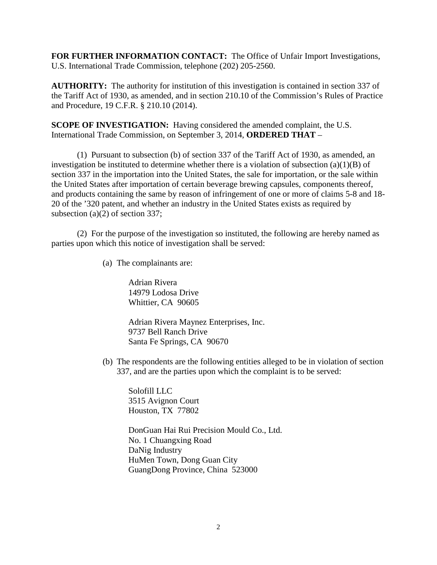**FOR FURTHER INFORMATION CONTACT:** The Office of Unfair Import Investigations, U.S. International Trade Commission, telephone (202) 205-2560.

**AUTHORITY:** The authority for institution of this investigation is contained in section 337 of the Tariff Act of 1930, as amended, and in section 210.10 of the Commission's Rules of Practice and Procedure, 19 C.F.R. § 210.10 (2014).

**SCOPE OF INVESTIGATION:** Having considered the amended complaint, the U.S. International Trade Commission, on September 3, 2014, **ORDERED THAT** –

(1) Pursuant to subsection (b) of section 337 of the Tariff Act of 1930, as amended, an investigation be instituted to determine whether there is a violation of subsection  $(a)(1)(B)$  of section 337 in the importation into the United States, the sale for importation, or the sale within the United States after importation of certain beverage brewing capsules, components thereof, and products containing the same by reason of infringement of one or more of claims 5-8 and 18- 20 of the '320 patent, and whether an industry in the United States exists as required by subsection (a)(2) of section 337;

(2) For the purpose of the investigation so instituted, the following are hereby named as parties upon which this notice of investigation shall be served:

(a) The complainants are:

Adrian Rivera 14979 Lodosa Drive Whittier, CA 90605

Adrian Rivera Maynez Enterprises, Inc. 9737 Bell Ranch Drive Santa Fe Springs, CA 90670

(b) The respondents are the following entities alleged to be in violation of section 337, and are the parties upon which the complaint is to be served:

Solofill LLC 3515 Avignon Court Houston, TX 77802

DonGuan Hai Rui Precision Mould Co., Ltd. No. 1 Chuangxing Road DaNig Industry HuMen Town, Dong Guan City GuangDong Province, China 523000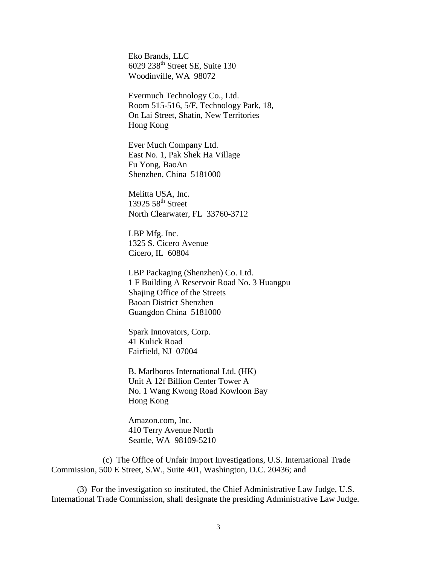Eko Brands, LLC  $6029$  238<sup>th</sup> Street SE, Suite 130 Woodinville, WA 98072

Evermuch Technology Co., Ltd. Room 515-516, 5/F, Technology Park, 18, On Lai Street, Shatin, New Territories Hong Kong

Ever Much Company Ltd. East No. 1, Pak Shek Ha Village Fu Yong, BaoAn Shenzhen, China 5181000

Melitta USA, Inc. 13925  $58<sup>th</sup>$  Street North Clearwater, FL 33760-3712

LBP Mfg. Inc. 1325 S. Cicero Avenue Cicero, IL 60804

LBP Packaging (Shenzhen) Co. Ltd. 1 F Building A Reservoir Road No. 3 Huangpu Shajing Office of the Streets Baoan District Shenzhen Guangdon China 5181000

Spark Innovators, Corp. 41 Kulick Road Fairfield, NJ 07004

B. Marlboros International Ltd. (HK) Unit A 12f Billion Center Tower A No. 1 Wang Kwong Road Kowloon Bay Hong Kong

Amazon.com, Inc. 410 Terry Avenue North Seattle, WA 98109-5210

(c) The Office of Unfair Import Investigations, U.S. International Trade Commission, 500 E Street, S.W., Suite 401, Washington, D.C. 20436; and

(3) For the investigation so instituted, the Chief Administrative Law Judge, U.S. International Trade Commission, shall designate the presiding Administrative Law Judge.